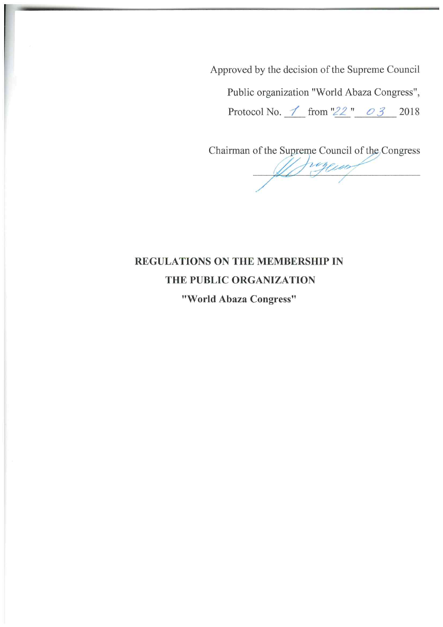Approved by the decision of the Supreme Council

Public organization "World Abaza Congress",

Protocol No.  $\angle$  from "22"  $\angle$  0 3 2018

Chairman of the Supreme Council of the Congress

De fragenal

# REGULATIONS ON THE MEMBERSHIP IN THE PUBLIC ORGANIZATION "World Abaza Congress"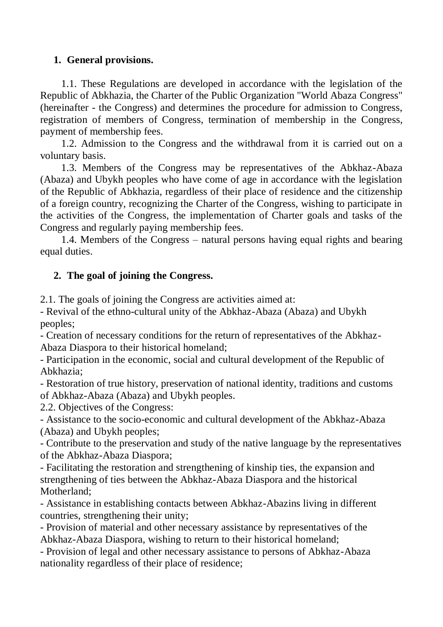## **1. General provisions.**

1.1. These Regulations are developed in accordance with the legislation of the Republic of Abkhazia, the Charter of the Public Organization "World Abaza Congress" (hereinafter - the Congress) and determines the procedure for admission to Congress, registration of members of Congress, termination of membership in the Congress, payment of membership fees.

1.2. Admission to the Congress and the withdrawal from it is carried out on a voluntary basis.

1.3. Members of the Congress may be representatives of the Abkhaz-Abaza (Abaza) and Ubykh peoples who have come of age in accordance with the legislation of the Republic of Abkhazia, regardless of their place of residence and the citizenship of a foreign country, recognizing the Charter of the Congress, wishing to participate in the activities of the Congress, the implementation of Charter goals and tasks of the Congress and regularly paying membership fees.

1.4. Members of the Congress – natural persons having equal rights and bearing equal duties.

### **2. The goal of joining the Congress.**

2.1. The goals of joining the Congress are activities aimed at:

- Revival of the ethno-cultural unity of the Abkhaz-Abaza (Abaza) and Ubykh peoples;

- Creation of necessary conditions for the return of representatives of the Abkhaz-Abaza Diaspora to their historical homeland;

- Participation in the economic, social and cultural development of the Republic of Abkhazia;

- Restoration of true history, preservation of national identity, traditions and customs of Abkhaz-Abaza (Abaza) and Ubykh peoples.

2.2. Objectives of the Congress:

- Assistance to the socio-economic and cultural development of the Abkhaz-Abaza (Abaza) and Ubykh peoples;

- Contribute to the preservation and study of the native language by the representatives of the Abkhaz-Abaza Diaspora;

- Facilitating the restoration and strengthening of kinship ties, the expansion and strengthening of ties between the Abkhaz-Abaza Diaspora and the historical Motherland;

- Assistance in establishing contacts between Abkhaz-Abazins living in different countries, strengthening their unity;

- Provision of material and other necessary assistance by representatives of the Abkhaz-Abaza Diaspora, wishing to return to their historical homeland;

- Provision of legal and other necessary assistance to persons of Abkhaz-Abaza nationality regardless of their place of residence;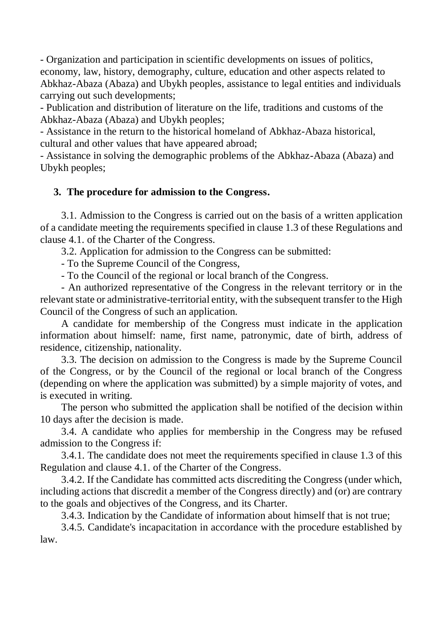- Organization and participation in scientific developments on issues of politics, economy, law, history, demography, culture, education and other aspects related to Abkhaz-Abaza (Abaza) and Ubykh peoples, assistance to legal entities and individuals carrying out such developments;

- Publication and distribution of literature on the life, traditions and customs of the Abkhaz-Abaza (Abaza) and Ubykh peoples;

- Assistance in the return to the historical homeland of Abkhaz-Abaza historical, cultural and other values that have appeared abroad;

- Assistance in solving the demographic problems of the Abkhaz-Abaza (Abaza) and Ubykh peoples;

### **3. The procedure for admission to the Congress.**

3.1. Admission to the Congress is carried out on the basis of a written application of a candidate meeting the requirements specified in clause 1.3 of these Regulations and clause 4.1. of the Charter of the Congress.

3.2. Application for admission to the Congress can be submitted:

- To the Supreme Council of the Congress,

- To the Council of the regional or local branch of the Congress.

- An authorized representative of the Congress in the relevant territory or in the relevant state or administrative-territorial entity, with the subsequent transfer to the High Council of the Congress of such an application.

A candidate for membership of the Congress must indicate in the application information about himself: name, first name, patronymic, date of birth, address of residence, citizenship, nationality.

3.3. The decision on admission to the Congress is made by the Supreme Council of the Congress, or by the Council of the regional or local branch of the Congress (depending on where the application was submitted) by a simple majority of votes, and is executed in writing.

The person who submitted the application shall be notified of the decision within 10 days after the decision is made.

3.4. A candidate who applies for membership in the Congress may be refused admission to the Congress if:

3.4.1. The candidate does not meet the requirements specified in clause 1.3 of this Regulation and clause 4.1. of the Charter of the Congress.

3.4.2. If the Candidate has committed acts discrediting the Congress (under which, including actions that discredit a member of the Congress directly) and (or) are contrary to the goals and objectives of the Congress, and its Charter.

3.4.3. Indication by the Candidate of information about himself that is not true;

3.4.5. Candidate's incapacitation in accordance with the procedure established by law.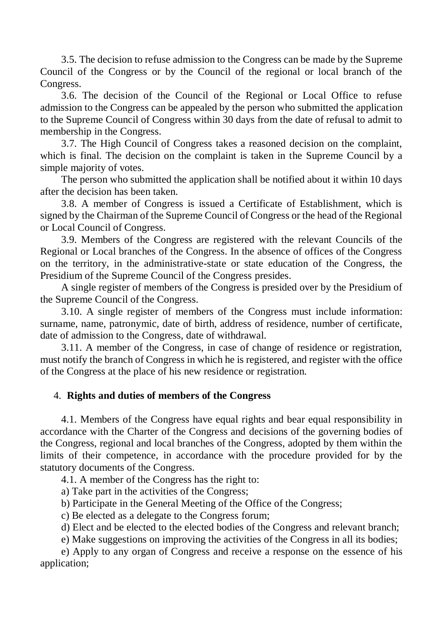3.5. The decision to refuse admission to the Congress can be made by the Supreme Council of the Congress or by the Council of the regional or local branch of the Congress.

3.6. The decision of the Council of the Regional or Local Office to refuse admission to the Congress can be appealed by the person who submitted the application to the Supreme Council of Congress within 30 days from the date of refusal to admit to membership in the Congress.

3.7. The High Council of Congress takes a reasoned decision on the complaint, which is final. The decision on the complaint is taken in the Supreme Council by a simple majority of votes.

The person who submitted the application shall be notified about it within 10 days after the decision has been taken.

3.8. A member of Congress is issued a Certificate of Establishment, which is signed by the Chairman of the Supreme Council of Congress or the head of the Regional or Local Council of Congress.

3.9. Members of the Congress are registered with the relevant Councils of the Regional or Local branches of the Congress. In the absence of offices of the Congress on the territory, in the administrative-state or state education of the Congress, the Presidium of the Supreme Council of the Congress presides.

A single register of members of the Congress is presided over by the Presidium of the Supreme Council of the Congress.

3.10. A single register of members of the Congress must include information: surname, name, patronymic, date of birth, address of residence, number of certificate, date of admission to the Congress, date of withdrawal.

3.11. A member of the Congress, in case of change of residence or registration, must notify the branch of Congress in which he is registered, and register with the office of the Congress at the place of his new residence or registration.

#### 4. **Rights and duties of members of the Congress**

4.1. Members of the Congress have equal rights and bear equal responsibility in accordance with the Charter of the Congress and decisions of the governing bodies of the Congress, regional and local branches of the Congress, adopted by them within the limits of their competence, in accordance with the procedure provided for by the statutory documents of the Congress.

4.1. A member of the Congress has the right to:

a) Take part in the activities of the Congress;

b) Participate in the General Meeting of the Office of the Congress;

c) Be elected as a delegate to the Congress forum;

d) Elect and be elected to the elected bodies of the Congress and relevant branch;

e) Make suggestions on improving the activities of the Congress in all its bodies;

e) Apply to any organ of Congress and receive a response on the essence of his application;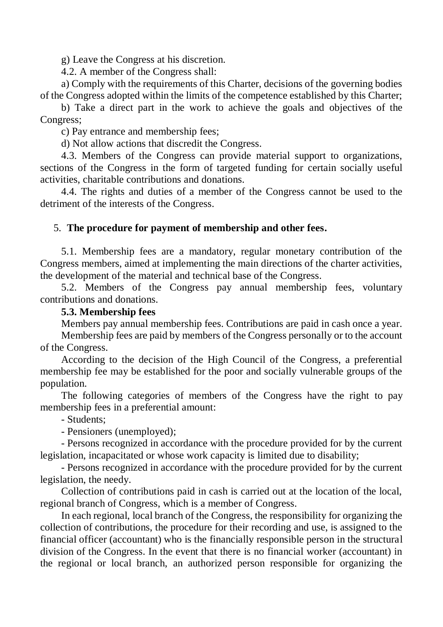g) Leave the Congress at his discretion.

4.2. A member of the Congress shall:

a) Comply with the requirements of this Charter, decisions of the governing bodies of the Congress adopted within the limits of the competence established by this Charter;

b) Take a direct part in the work to achieve the goals and objectives of the Congress;

c) Pay entrance and membership fees;

d) Not allow actions that discredit the Congress.

4.3. Members of the Congress can provide material support to organizations, sections of the Congress in the form of targeted funding for certain socially useful activities, charitable contributions and donations.

4.4. The rights and duties of a member of the Congress cannot be used to the detriment of the interests of the Congress.

### 5. **The procedure for payment of membership and other fees.**

5.1. Membership fees are a mandatory, regular monetary contribution of the Congress members, aimed at implementing the main directions of the charter activities, the development of the material and technical base of the Congress.

5.2. Members of the Congress pay annual membership fees, voluntary contributions and donations.

#### **5.3. Membership fees**

Members pay annual membership fees. Contributions are paid in cash once a year.

Membership fees are paid by members of the Congress personally or to the account of the Congress.

According to the decision of the High Council of the Congress, a preferential membership fee may be established for the poor and socially vulnerable groups of the population.

The following categories of members of the Congress have the right to pay membership fees in a preferential amount:

- Students;

- Pensioners (unemployed);

- Persons recognized in accordance with the procedure provided for by the current legislation, incapacitated or whose work capacity is limited due to disability;

- Persons recognized in accordance with the procedure provided for by the current legislation, the needy.

Collection of contributions paid in cash is carried out at the location of the local, regional branch of Congress, which is a member of Congress.

In each regional, local branch of the Congress, the responsibility for organizing the collection of contributions, the procedure for their recording and use, is assigned to the financial officer (accountant) who is the financially responsible person in the structural division of the Congress. In the event that there is no financial worker (accountant) in the regional or local branch, an authorized person responsible for organizing the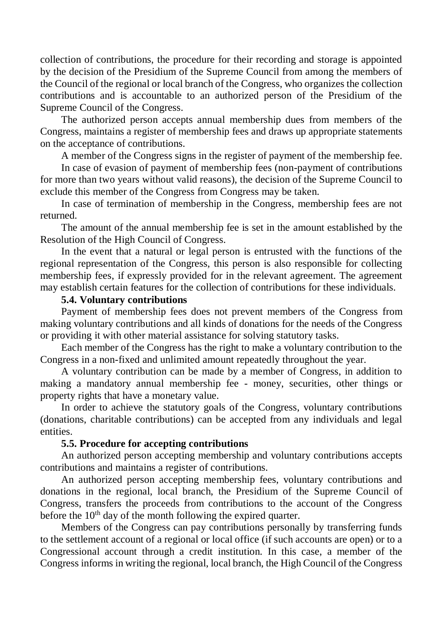collection of contributions, the procedure for their recording and storage is appointed by the decision of the Presidium of the Supreme Council from among the members of the Council of the regional or local branch of the Congress, who organizes the collection contributions and is accountable to an authorized person of the Presidium of the Supreme Council of the Congress.

The authorized person accepts annual membership dues from members of the Congress, maintains a register of membership fees and draws up appropriate statements on the acceptance of contributions.

A member of the Congress signs in the register of payment of the membership fee.

In case of evasion of payment of membership fees (non-payment of contributions for more than two years without valid reasons), the decision of the Supreme Council to exclude this member of the Congress from Congress may be taken.

In case of termination of membership in the Congress, membership fees are not returned.

The amount of the annual membership fee is set in the amount established by the Resolution of the High Council of Congress.

In the event that a natural or legal person is entrusted with the functions of the regional representation of the Congress, this person is also responsible for collecting membership fees, if expressly provided for in the relevant agreement. The agreement may establish certain features for the collection of contributions for these individuals.

#### **5.4. Voluntary contributions**

Payment of membership fees does not prevent members of the Congress from making voluntary contributions and all kinds of donations for the needs of the Congress or providing it with other material assistance for solving statutory tasks.

Each member of the Congress has the right to make a voluntary contribution to the Congress in a non-fixed and unlimited amount repeatedly throughout the year.

A voluntary contribution can be made by a member of Congress, in addition to making a mandatory annual membership fee - money, securities, other things or property rights that have a monetary value.

In order to achieve the statutory goals of the Congress, voluntary contributions (donations, charitable contributions) can be accepted from any individuals and legal entities.

#### **5.5. Procedure for accepting contributions**

An authorized person accepting membership and voluntary contributions accepts contributions and maintains a register of contributions.

An authorized person accepting membership fees, voluntary contributions and donations in the regional, local branch, the Presidium of the Supreme Council of Congress, transfers the proceeds from contributions to the account of the Congress before the  $10<sup>th</sup>$  day of the month following the expired quarter.

Members of the Congress can pay contributions personally by transferring funds to the settlement account of a regional or local office (if such accounts are open) or to a Congressional account through a credit institution. In this case, a member of the Congress informs in writing the regional, local branch, the High Council of the Congress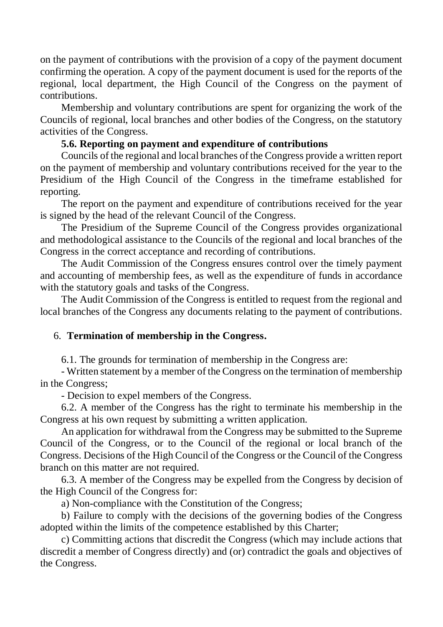on the payment of contributions with the provision of a copy of the payment document confirming the operation. A copy of the payment document is used for the reports of the regional, local department, the High Council of the Congress on the payment of contributions.

Membership and voluntary contributions are spent for organizing the work of the Councils of regional, local branches and other bodies of the Congress, on the statutory activities of the Congress.

### **5.6. Reporting on payment and expenditure of contributions**

Councils of the regional and local branches of the Congress provide a written report on the payment of membership and voluntary contributions received for the year to the Presidium of the High Council of the Congress in the timeframe established for reporting.

The report on the payment and expenditure of contributions received for the year is signed by the head of the relevant Council of the Congress.

The Presidium of the Supreme Council of the Congress provides organizational and methodological assistance to the Councils of the regional and local branches of the Congress in the correct acceptance and recording of contributions.

The Audit Commission of the Congress ensures control over the timely payment and accounting of membership fees, as well as the expenditure of funds in accordance with the statutory goals and tasks of the Congress.

The Audit Commission of the Congress is entitled to request from the regional and local branches of the Congress any documents relating to the payment of contributions.

#### 6. **Termination of membership in the Congress.**

6.1. The grounds for termination of membership in the Congress are:

- Written statement by a member of the Congress on the termination of membership in the Congress;

- Decision to expel members of the Congress.

6.2. A member of the Congress has the right to terminate his membership in the Congress at his own request by submitting a written application.

An application for withdrawal from the Congress may be submitted to the Supreme Council of the Congress, or to the Council of the regional or local branch of the Congress. Decisions of the High Council of the Congress or the Council of the Congress branch on this matter are not required.

6.3. A member of the Congress may be expelled from the Congress by decision of the High Council of the Congress for:

a) Non-compliance with the Constitution of the Congress;

b) Failure to comply with the decisions of the governing bodies of the Congress adopted within the limits of the competence established by this Charter;

c) Committing actions that discredit the Congress (which may include actions that discredit a member of Congress directly) and (or) contradict the goals and objectives of the Congress.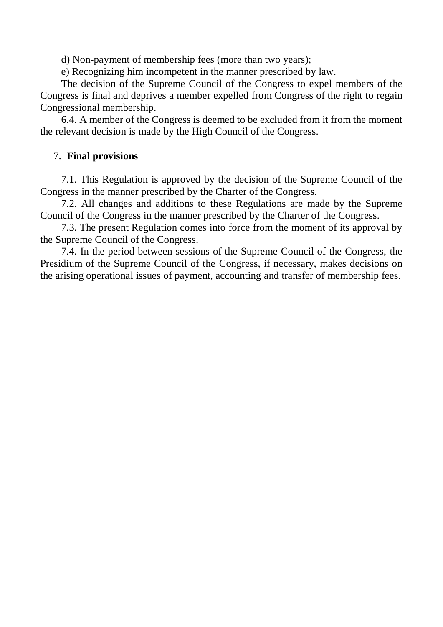d) Non-payment of membership fees (more than two years);

e) Recognizing him incompetent in the manner prescribed by law.

The decision of the Supreme Council of the Congress to expel members of the Congress is final and deprives a member expelled from Congress of the right to regain Congressional membership.

6.4. A member of the Congress is deemed to be excluded from it from the moment the relevant decision is made by the High Council of the Congress.

#### 7. **Final provisions**

7.1. This Regulation is approved by the decision of the Supreme Council of the Congress in the manner prescribed by the Charter of the Congress.

7.2. All changes and additions to these Regulations are made by the Supreme Council of the Congress in the manner prescribed by the Charter of the Congress.

7.3. The present Regulation comes into force from the moment of its approval by the Supreme Council of the Congress.

7.4. In the period between sessions of the Supreme Council of the Congress, the Presidium of the Supreme Council of the Congress, if necessary, makes decisions on the arising operational issues of payment, accounting and transfer of membership fees.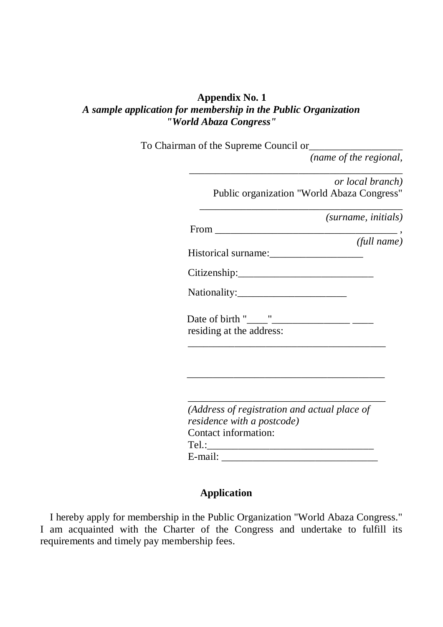### **Appendix No. 1** *A sample application for membership in the Public Organization "World Abaza Congress"*

To Chairman of the Supreme Council or\_\_\_\_\_\_\_\_\_\_\_\_\_\_\_\_\_\_

*(name of the regional,* 

| or local branch)                                                                  |
|-----------------------------------------------------------------------------------|
| Public organization "World Abaza Congress"                                        |
| (surname, initials)                                                               |
| $From \_$                                                                         |
| (full name)                                                                       |
|                                                                                   |
|                                                                                   |
|                                                                                   |
|                                                                                   |
|                                                                                   |
| residing at the address:                                                          |
|                                                                                   |
|                                                                                   |
|                                                                                   |
|                                                                                   |
|                                                                                   |
| (Address of registration and actual place of<br><i>residence with a postcode)</i> |
| Contact information:                                                              |
|                                                                                   |
|                                                                                   |
|                                                                                   |

## **Application**

I hereby apply for membership in the Public Organization "World Abaza Congress." I am acquainted with the Charter of the Congress and undertake to fulfill its requirements and timely pay membership fees.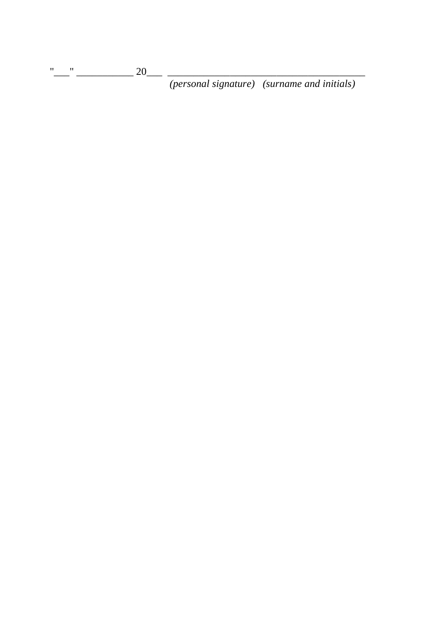*(personal signature) (surname and initials)*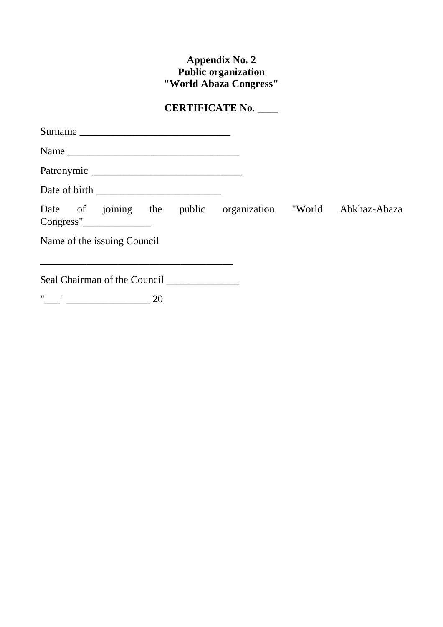## **Appendix No. 2 Public organization "World Abaza Congress"**

## **CERTIFICATE No. \_\_\_\_**

| Name                                                                                                                                                                                                                                                                                                                                                                                              |  |  |
|---------------------------------------------------------------------------------------------------------------------------------------------------------------------------------------------------------------------------------------------------------------------------------------------------------------------------------------------------------------------------------------------------|--|--|
|                                                                                                                                                                                                                                                                                                                                                                                                   |  |  |
|                                                                                                                                                                                                                                                                                                                                                                                                   |  |  |
| Date of joining the public organization "World Abkhaz-Abaza                                                                                                                                                                                                                                                                                                                                       |  |  |
| Name of the issuing Council                                                                                                                                                                                                                                                                                                                                                                       |  |  |
| Seal Chairman of the Council                                                                                                                                                                                                                                                                                                                                                                      |  |  |
| $\begin{picture}(150,10) \put(0,0){\dashbox{0.5}(10,0){ }} \put(15,0){\circle{10}} \put(15,0){\circle{10}} \put(15,0){\circle{10}} \put(15,0){\circle{10}} \put(15,0){\circle{10}} \put(15,0){\circle{10}} \put(15,0){\circle{10}} \put(15,0){\circle{10}} \put(15,0){\circle{10}} \put(15,0){\circle{10}} \put(15,0){\circle{10}} \put(15,0){\circle{10}} \put(15,0){\circle{10}} \put(15$<br>20 |  |  |